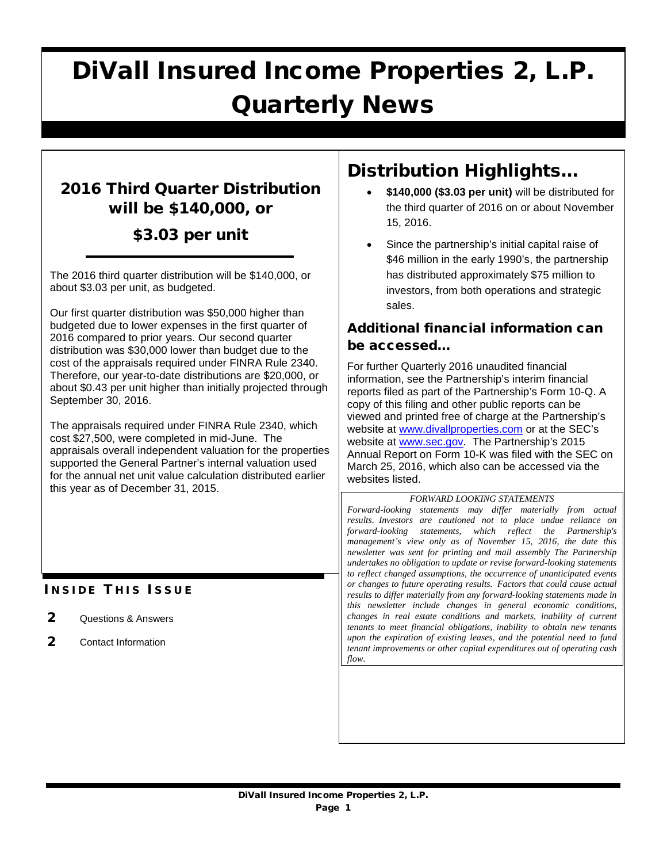# DiVall Insured Income Properties 2, L.P. Quarterly News

# 2016 Third Quarter Distribution will be \$140,000, or

## \$3.03 per unit

The 2016 third quarter distribution will be \$140,000, or about \$3.03 per unit, as budgeted.

Our first quarter distribution was \$50,000 higher than budgeted due to lower expenses in the first quarter of 2016 compared to prior years. Our second quarter distribution was \$30,000 lower than budget due to the cost of the appraisals required under FINRA Rule 2340. Therefore, our year-to-date distributions are \$20,000, or about \$0.43 per unit higher than initially projected through September 30, 2016.

The appraisals required under FINRA Rule 2340, which cost \$27,500, were completed in mid-June. The appraisals overall independent valuation for the properties supported the General Partner's internal valuation used for the annual net unit value calculation distributed earlier this year as of December 31, 2015.

### **INSIDE THIS ISSUE**

- 2 Questions & Answers
- 2 Contact Information

# Distribution Highlights…

- **\$140,000 (\$3.03 per unit)** will be distributed for the third quarter of 2016 on or about November 15, 2016.
- Since the partnership's initial capital raise of \$46 million in the early 1990's, the partnership has distributed approximately \$75 million to investors, from both operations and strategic sales.

### Additional financial information can be accessed…

For further Quarterly 2016 unaudited financial information, see the Partnership's interim financial reports filed as part of the Partnership's Form 10-Q. A copy of this filing and other public reports can be viewed and printed free of charge at the Partnership's website at [www.divallproperties.com](http://www.divallproperties.com/) or at the SEC's website at [www.sec.gov.](http://www.sec.gov/) The Partnership's 2015 Annual Report on Form 10-K was filed with the SEC on March 25, 2016, which also can be accessed via the websites listed.

#### *FORWARD LOOKING STATEMENTS*

*Forward-looking statements may differ materially from actual results. Investors are cautioned not to place undue reliance on forward-looking statements, which reflect the Partnership's management's view only as of November 15, 2016, the date this newsletter was sent for printing and mail assembly The Partnership undertakes no obligation to update or revise forward-looking statements to reflect changed assumptions, the occurrence of unanticipated events or changes to future operating results. Factors that could cause actual results to differ materially from any forward-looking statements made in this newsletter include changes in general economic conditions, changes in real estate conditions and markets, inability of current tenants to meet financial obligations, inability to obtain new tenants upon the expiration of existing leases, and the potential need to fund tenant improvements or other capital expenditures out of operating cash flow.*